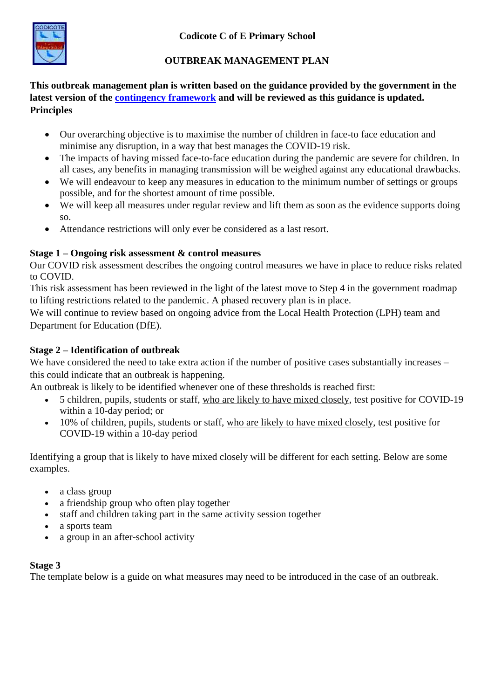

# **OUTBREAK MANAGEMENT PLAN**

**This outbreak management plan is written based on the guidance provided by the government in the latest version of the [contingency framework](https://www.gov.uk/government/publications/coronavirus-covid-19-local-restrictions-in-education-and-childcare-settings?utm_medium=email&utm_campaign=govuk-notifications&utm_source=f75efe81-efb1-40ab-bae6-f57a074b6f05&utm_content=immediately) and will be reviewed as this guidance is updated. Principles**

- Our overarching objective is to maximise the number of children in face-to face education and minimise any disruption, in a way that best manages the COVID-19 risk.
- The impacts of having missed face-to-face education during the pandemic are severe for children. In all cases, any benefits in managing transmission will be weighed against any educational drawbacks.
- We will endeavour to keep any measures in education to the minimum number of settings or groups possible, and for the shortest amount of time possible.
- We will keep all measures under regular review and lift them as soon as the evidence supports doing so.
- Attendance restrictions will only ever be considered as a last resort.

## **Stage 1 – Ongoing risk assessment & control measures**

Our COVID risk assessment describes the ongoing control measures we have in place to reduce risks related to COVID.

This risk assessment has been reviewed in the light of the latest move to Step 4 in the government roadmap to lifting restrictions related to the pandemic. A phased recovery plan is in place.

We will continue to review based on ongoing advice from the Local Health Protection (LPH) team and Department for Education (DfE).

# **Stage 2 – Identification of outbreak**

We have considered the need to take extra action if the number of positive cases substantially increases – this could indicate that an outbreak is happening.

An outbreak is likely to be identified whenever one of these thresholds is reached first:

- 5 children, pupils, students or staff, who are likely to have mixed closely, test positive for COVID-19 within a 10-day period; or
- 10% of children, pupils, students or staff, who are likely to have mixed closely, test positive for COVID-19 within a 10-day period

Identifying a group that is likely to have mixed closely will be different for each setting. Below are some examples.

- a class group
- a friendship group who often play together
- staff and children taking part in the same activity session together
- a sports team
- a group in an after-school activity

## **Stage 3**

The template below is a guide on what measures may need to be introduced in the case of an outbreak.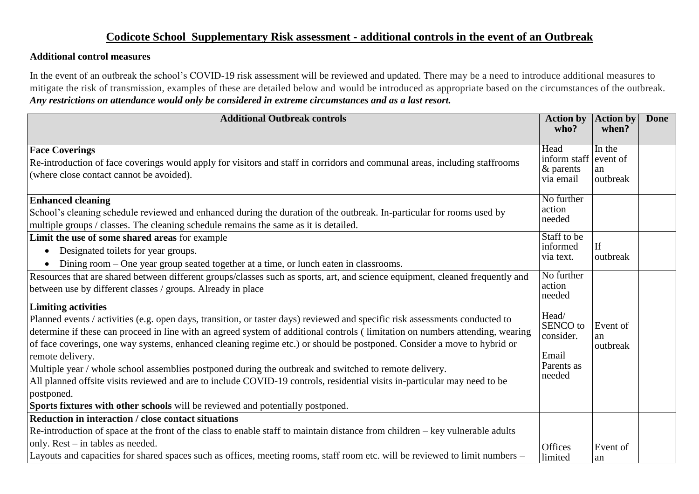# **Codicote School Supplementary Risk assessment - additional controls in the event of an Outbreak**

#### **Additional control measures**

In the event of an outbreak the school's COVID-19 risk assessment will be reviewed and updated. There may be a need to introduce additional measures to mitigate the risk of transmission, examples of these are detailed below and would be introduced as appropriate based on the circumstances of the outbreak. *Any restrictions on attendance would only be considered in extreme circumstances and as a last resort.*

| <b>Additional Outbreak controls</b>                                                                                                                                                                                                                                                                                                                                                                                                                                                                                                                                                                                                                                                                                                                                               | <b>Action by</b><br>who?                                               | <b>Action by</b><br>when?            | <b>Done</b> |
|-----------------------------------------------------------------------------------------------------------------------------------------------------------------------------------------------------------------------------------------------------------------------------------------------------------------------------------------------------------------------------------------------------------------------------------------------------------------------------------------------------------------------------------------------------------------------------------------------------------------------------------------------------------------------------------------------------------------------------------------------------------------------------------|------------------------------------------------------------------------|--------------------------------------|-------------|
| <b>Face Coverings</b><br>Re-introduction of face coverings would apply for visitors and staff in corridors and communal areas, including staffrooms<br>(where close contact cannot be avoided).                                                                                                                                                                                                                                                                                                                                                                                                                                                                                                                                                                                   | Head<br>inform staff<br>& parents<br>via email                         | In the<br>event of<br>an<br>outbreak |             |
| <b>Enhanced cleaning</b><br>School's cleaning schedule reviewed and enhanced during the duration of the outbreak. In-particular for rooms used by<br>multiple groups / classes. The cleaning schedule remains the same as it is detailed.                                                                                                                                                                                                                                                                                                                                                                                                                                                                                                                                         | No further<br>action<br>needed                                         |                                      |             |
| Limit the use of some shared areas for example<br>Designated toilets for year groups.<br>$\bullet$<br>Dining room – One year group seated together at a time, or lunch eaten in classrooms.                                                                                                                                                                                                                                                                                                                                                                                                                                                                                                                                                                                       | Staff to be<br>informed<br>via text.                                   | If<br>outbreak                       |             |
| Resources that are shared between different groups/classes such as sports, art, and science equipment, cleaned frequently and<br>between use by different classes / groups. Already in place                                                                                                                                                                                                                                                                                                                                                                                                                                                                                                                                                                                      | No further<br>action<br>needed                                         |                                      |             |
| <b>Limiting activities</b><br>Planned events / activities (e.g. open days, transition, or taster days) reviewed and specific risk assessments conducted to<br>determine if these can proceed in line with an agreed system of additional controls (limitation on numbers attending, wearing<br>of face coverings, one way systems, enhanced cleaning regime etc.) or should be postponed. Consider a move to hybrid or<br>remote delivery.<br>Multiple year / whole school assemblies postponed during the outbreak and switched to remote delivery.<br>All planned offsite visits reviewed and are to include COVID-19 controls, residential visits in-particular may need to be<br>postponed.<br>Sports fixtures with other schools will be reviewed and potentially postponed. | Head/<br><b>SENCO</b> to<br>consider.<br>Email<br>Parents as<br>needed | Event of<br>an<br>outbreak           |             |
| Reduction in interaction / close contact situations                                                                                                                                                                                                                                                                                                                                                                                                                                                                                                                                                                                                                                                                                                                               |                                                                        |                                      |             |
| Re-introduction of space at the front of the class to enable staff to maintain distance from children – key vulnerable adults<br>only. Rest – in tables as needed.<br>Layouts and capacities for shared spaces such as offices, meeting rooms, staff room etc. will be reviewed to limit numbers -                                                                                                                                                                                                                                                                                                                                                                                                                                                                                | Offices<br>limited                                                     | Event of<br>an                       |             |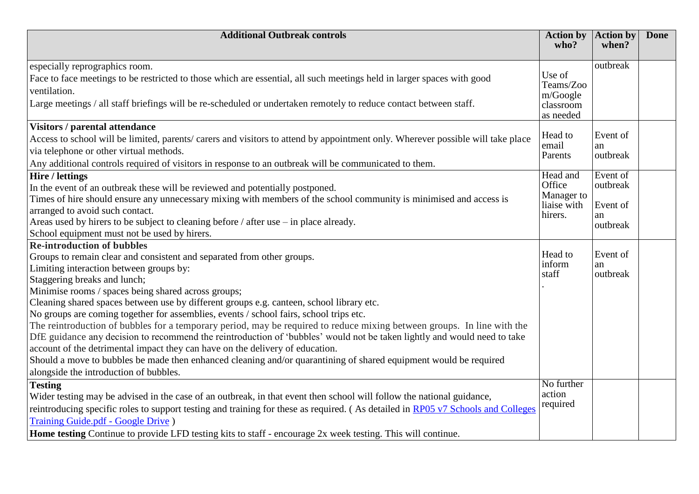| <b>Additional Outbreak controls</b>                                                                                              | <b>Action by</b><br>who?  | <b>Action by</b><br>when? | <b>Done</b> |
|----------------------------------------------------------------------------------------------------------------------------------|---------------------------|---------------------------|-------------|
|                                                                                                                                  |                           |                           |             |
| especially reprographics room.                                                                                                   |                           | outbreak                  |             |
| Face to face meetings to be restricted to those which are essential, all such meetings held in larger spaces with good           | Use of                    |                           |             |
| ventilation.                                                                                                                     | Teams/Zoo<br>m/Google     |                           |             |
| Large meetings / all staff briefings will be re-scheduled or undertaken remotely to reduce contact between staff.                | classroom                 |                           |             |
|                                                                                                                                  | as needed                 |                           |             |
| <b>Visitors / parental attendance</b>                                                                                            |                           |                           |             |
| Access to school will be limited, parents/carers and visitors to attend by appointment only. Wherever possible will take place   | Head to<br>email          | Event of                  |             |
| via telephone or other virtual methods.                                                                                          | Parents                   | an<br>outbreak            |             |
| Any additional controls required of visitors in response to an outbreak will be communicated to them.                            |                           |                           |             |
| Hire / lettings                                                                                                                  | Head and                  | Event of                  |             |
| In the event of an outbreak these will be reviewed and potentially postponed.                                                    | Office                    | outbreak                  |             |
| Times of hire should ensure any unnecessary mixing with members of the school community is minimised and access is               | Manager to<br>liaise with | Event of                  |             |
| arranged to avoid such contact.                                                                                                  | hirers.                   | an                        |             |
| Areas used by hirers to be subject to cleaning before / after use – in place already.                                            |                           | outbreak                  |             |
| School equipment must not be used by hirers.                                                                                     |                           |                           |             |
| <b>Re-introduction of bubbles</b>                                                                                                | Head to                   |                           |             |
| Groups to remain clear and consistent and separated from other groups.                                                           | inform                    | Event of<br>an            |             |
| Limiting interaction between groups by:                                                                                          | staff                     | outbreak                  |             |
| Staggering breaks and lunch;                                                                                                     |                           |                           |             |
| Minimise rooms / spaces being shared across groups;                                                                              |                           |                           |             |
| Cleaning shared spaces between use by different groups e.g. canteen, school library etc.                                         |                           |                           |             |
| No groups are coming together for assemblies, events / school fairs, school trips etc.                                           |                           |                           |             |
| The reintroduction of bubbles for a temporary period, may be required to reduce mixing between groups. In line with the          |                           |                           |             |
| DfE guidance any decision to recommend the reintroduction of 'bubbles' would not be taken lightly and would need to take         |                           |                           |             |
| account of the detrimental impact they can have on the delivery of education.                                                    |                           |                           |             |
| Should a move to bubbles be made then enhanced cleaning and/or quarantining of shared equipment would be required                |                           |                           |             |
| alongside the introduction of bubbles.                                                                                           |                           |                           |             |
| <b>Testing</b>                                                                                                                   | No further<br>action      |                           |             |
| Wider testing may be advised in the case of an outbreak, in that event then school will follow the national guidance,            | required                  |                           |             |
| reintroducing specific roles to support testing and training for these as required. (As detailed in RP05 v7 Schools and Colleges |                           |                           |             |
| <b>Training Guide.pdf - Google Drive</b> )                                                                                       |                           |                           |             |
| Home testing Continue to provide LFD testing kits to staff - encourage 2x week testing. This will continue.                      |                           |                           |             |